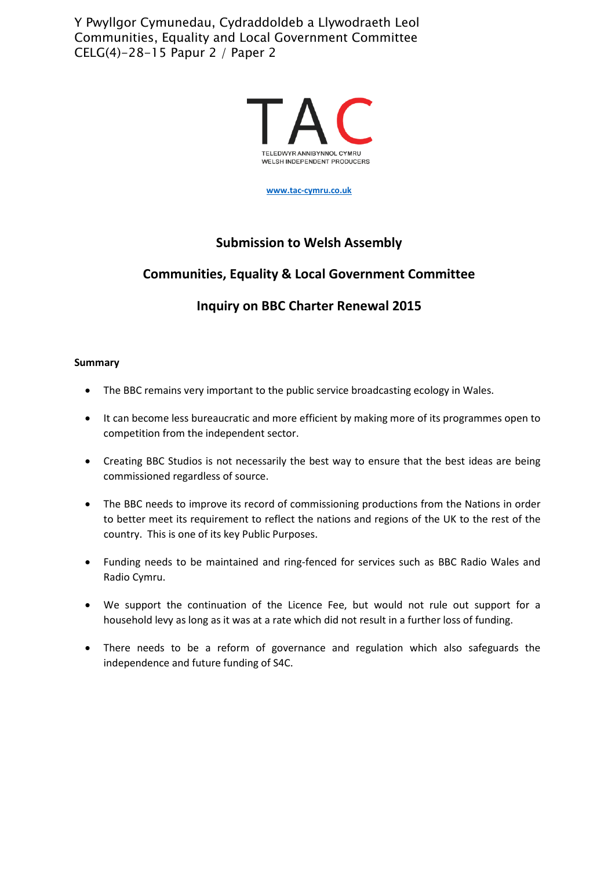Y Pwyllgor Cymunedau, Cydraddoldeb a Llywodraeth Leol Communities, Equality and Local Government Committee CELG(4)-28-15 Papur 2 / Paper 2



**[www.tac-cymru.co.uk](http://www.tac-cymru.co.uk/)**

## **Submission to Welsh Assembly**

# **Communities, Equality & Local Government Committee**

# **Inquiry on BBC Charter Renewal 2015**

#### **Summary**

- The BBC remains very important to the public service broadcasting ecology in Wales.
- It can become less bureaucratic and more efficient by making more of its programmes open to competition from the independent sector.
- Creating BBC Studios is not necessarily the best way to ensure that the best ideas are being commissioned regardless of source.
- The BBC needs to improve its record of commissioning productions from the Nations in order to better meet its requirement to reflect the nations and regions of the UK to the rest of the country. This is one of its key Public Purposes.
- Funding needs to be maintained and ring-fenced for services such as BBC Radio Wales and Radio Cymru.
- We support the continuation of the Licence Fee, but would not rule out support for a household levy as long as it was at a rate which did not result in a further loss of funding.
- There needs to be a reform of governance and regulation which also safeguards the independence and future funding of S4C.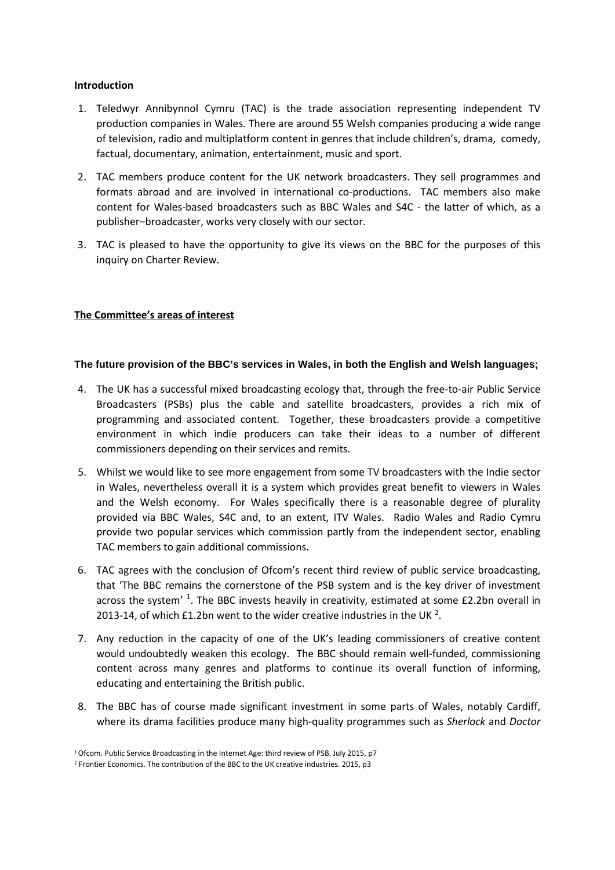#### **Introduction**

- 1. Teledwyr Annibynnol Cymru (TAC) is the trade association representing independent TV production companies in Wales. There are around 55 Welsh companies producing a wide range of television, radio and multiplatform content in genres that include children's, drama, comedy, factual, documentary, animation, entertainment, music and sport.
- 2. TAC members produce content for the UK network broadcasters. They sell programmes and formats abroad and are involved in international co-productions. TAC members also make content for Wales-based broadcasters such as BBC Wales and S4C - the latter of which, as a publisher–broadcaster, works very closely with our sector.
- 3. TAC is pleased to have the opportunity to give its views on the BBC for the purposes of this inquiry on Charter Review.

### **The Committee's areas of interest**

#### **The future provision of the BBC's services in Wales, in both the English and Welsh languages;**

- 4. The UK has a successful mixed broadcasting ecology that, through the free-to-air Public Service Broadcasters (PSBs) plus the cable and satellite broadcasters, provides a rich mix of programming and associated content. Together, these broadcasters provide a competitive environment in which indie producers can take their ideas to a number of different commissioners depending on their services and remits.
- 5. Whilst we would like to see more engagement from some TV broadcasters with the Indie sector in Wales, nevertheless overall it is a system which provides great benefit to viewers in Wales and the Welsh economy. For Wales specifically there is a reasonable degree of plurality provided via BBC Wales, S4C and, to an extent, ITV Wales. Radio Wales and Radio Cymru provide two popular services which commission partly from the independent sector, enabling TAC members to gain additional commissions.
- 6. TAC agrees with the conclusion of Ofcom's recent third review of public service broadcasting, that 'The BBC remains the cornerstone of the PSB system and is the key driver of investment across the system' <sup>[1](#page-1-0)</sup>. The BBC invests heavily in creativity, estimated at some £2.2bn overall in [2](#page-1-1)013-14, of which £1.2bn went to the wider creative industries in the UK<sup>2</sup>.
- 7. Any reduction in the capacity of one of the UK's leading commissioners of creative content would undoubtedly weaken this ecology. The BBC should remain well-funded, commissioning content across many genres and platforms to continue its overall function of informing, educating and entertaining the British public.
- 8. The BBC has of course made significant investment in some parts of Wales, notably Cardiff, where its drama facilities produce many high-quality programmes such as *Sherlock* and *Doctor*

<span id="page-1-0"></span><sup>1</sup> Ofcom. Public Service Broadcasting in the Internet Age: third review of PSB. July 2015, p7

<span id="page-1-1"></span><sup>&</sup>lt;sup>2</sup> Frontier Economics. The contribution of the BBC to the UK creative industries. 2015, p3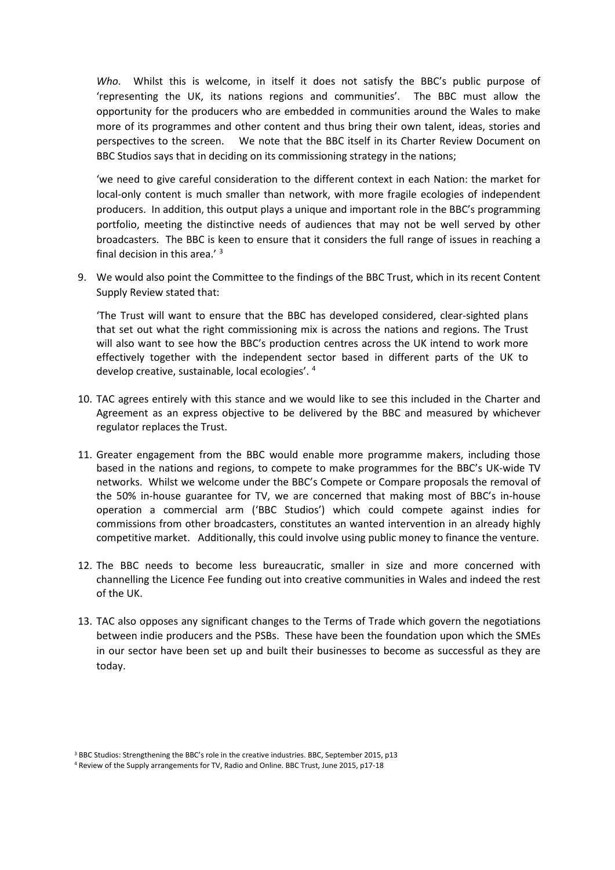*Who*. Whilst this is welcome, in itself it does not satisfy the BBC's public purpose of 'representing the UK, its nations regions and communities'. The BBC must allow the opportunity for the producers who are embedded in communities around the Wales to make more of its programmes and other content and thus bring their own talent, ideas, stories and perspectives to the screen. We note that the BBC itself in its Charter Review Document on BBC Studios says that in deciding on its commissioning strategy in the nations;

'we need to give careful consideration to the different context in each Nation: the market for local-only content is much smaller than network, with more fragile ecologies of independent producers. In addition, this output plays a unique and important role in the BBC's programming portfolio, meeting the distinctive needs of audiences that may not be well served by other broadcasters. The BBC is keen to ensure that it considers the full range of issues in reaching a final decision in this area.' [3](#page-2-0)

9. We would also point the Committee to the findings of the BBC Trust, which in its recent Content Supply Review stated that:

'The Trust will want to ensure that the BBC has developed considered, clear-sighted plans that set out what the right commissioning mix is across the nations and regions. The Trust will also want to see how the BBC's production centres across the UK intend to work more effectively together with the independent sector based in different parts of the UK to develop creative, sustainable, local ecologies'. [4](#page-2-1)

- 10. TAC agrees entirely with this stance and we would like to see this included in the Charter and Agreement as an express objective to be delivered by the BBC and measured by whichever regulator replaces the Trust.
- 11. Greater engagement from the BBC would enable more programme makers, including those based in the nations and regions, to compete to make programmes for the BBC's UK-wide TV networks. Whilst we welcome under the BBC's Compete or Compare proposals the removal of the 50% in-house guarantee for TV, we are concerned that making most of BBC's in-house operation a commercial arm ('BBC Studios') which could compete against indies for commissions from other broadcasters, constitutes an wanted intervention in an already highly competitive market. Additionally, this could involve using public money to finance the venture.
- 12. The BBC needs to become less bureaucratic, smaller in size and more concerned with channelling the Licence Fee funding out into creative communities in Wales and indeed the rest of the UK.
- 13. TAC also opposes any significant changes to the Terms of Trade which govern the negotiations between indie producers and the PSBs. These have been the foundation upon which the SMEs in our sector have been set up and built their businesses to become as successful as they are today.

<span id="page-2-0"></span><sup>3</sup> BBC Studios: Strengthening the BBC's role in the creative industries. BBC, September 2015, p13

<span id="page-2-1"></span><sup>4</sup> Review of the Supply arrangements for TV, Radio and Online. BBC Trust, June 2015, p17-18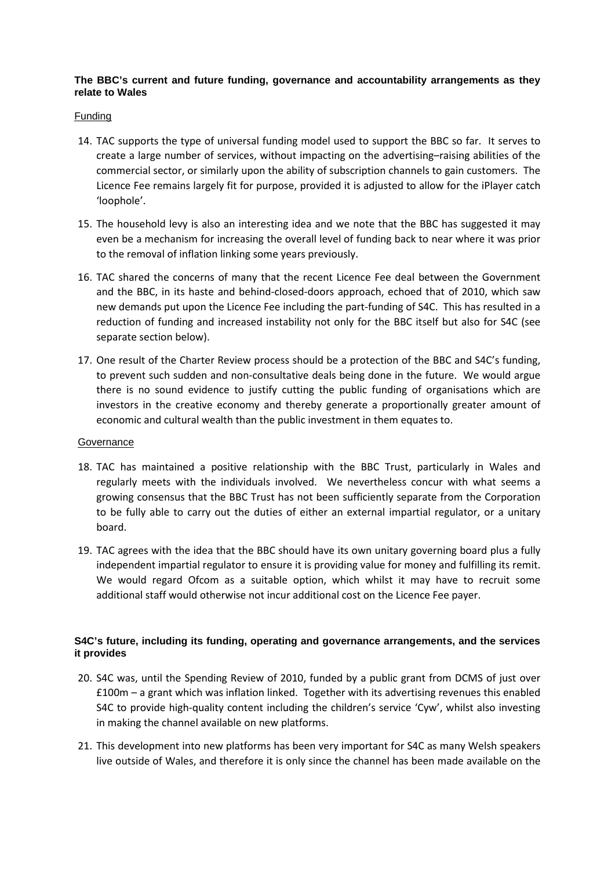### **The BBC's current and future funding, governance and accountability arrangements as they relate to Wales**

#### **Funding**

- 14. TAC supports the type of universal funding model used to support the BBC so far. It serves to create a large number of services, without impacting on the advertising–raising abilities of the commercial sector, or similarly upon the ability of subscription channels to gain customers. The Licence Fee remains largely fit for purpose, provided it is adjusted to allow for the iPlayer catch 'loophole'.
- 15. The household levy is also an interesting idea and we note that the BBC has suggested it may even be a mechanism for increasing the overall level of funding back to near where it was prior to the removal of inflation linking some years previously.
- 16. TAC shared the concerns of many that the recent Licence Fee deal between the Government and the BBC, in its haste and behind-closed-doors approach, echoed that of 2010, which saw new demands put upon the Licence Fee including the part-funding of S4C. This has resulted in a reduction of funding and increased instability not only for the BBC itself but also for S4C (see separate section below).
- 17. One result of the Charter Review process should be a protection of the BBC and S4C's funding, to prevent such sudden and non-consultative deals being done in the future. We would argue there is no sound evidence to justify cutting the public funding of organisations which are investors in the creative economy and thereby generate a proportionally greater amount of economic and cultural wealth than the public investment in them equates to.

#### **Governance**

- 18. TAC has maintained a positive relationship with the BBC Trust, particularly in Wales and regularly meets with the individuals involved. We nevertheless concur with what seems a growing consensus that the BBC Trust has not been sufficiently separate from the Corporation to be fully able to carry out the duties of either an external impartial regulator, or a unitary board.
- 19. TAC agrees with the idea that the BBC should have its own unitary governing board plus a fully independent impartial regulator to ensure it is providing value for money and fulfilling its remit. We would regard Ofcom as a suitable option, which whilst it may have to recruit some additional staff would otherwise not incur additional cost on the Licence Fee payer.

### **S4C's future, including its funding, operating and governance arrangements, and the services it provides**

- 20. S4C was, until the Spending Review of 2010, funded by a public grant from DCMS of just over £100m – a grant which was inflation linked. Together with its advertising revenues this enabled S4C to provide high-quality content including the children's service 'Cyw', whilst also investing in making the channel available on new platforms.
- 21. This development into new platforms has been very important for S4C as many Welsh speakers live outside of Wales, and therefore it is only since the channel has been made available on the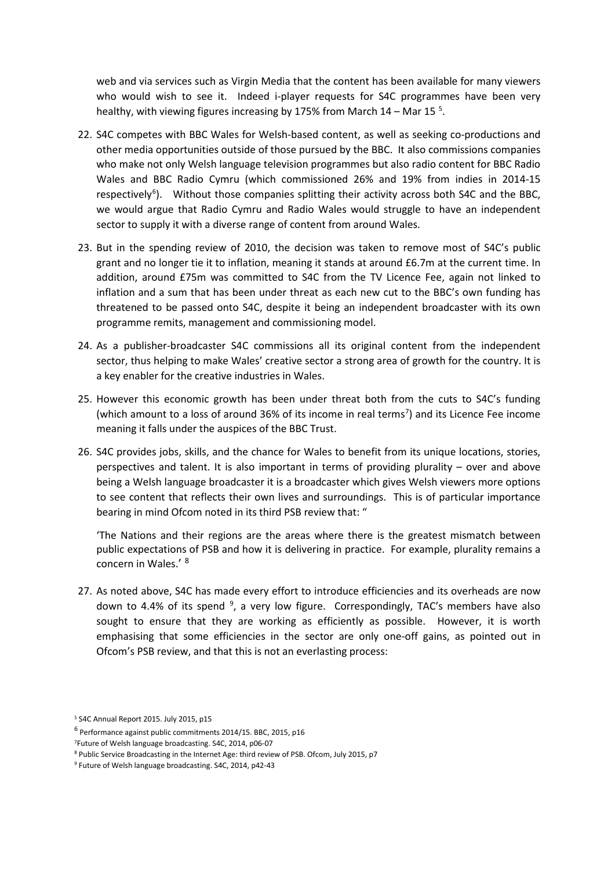web and via services such as Virgin Media that the content has been available for many viewers who would wish to see it. Indeed i-player requests for S4C programmes have been very healthy, with viewing figures increasing by 17[5](#page-4-0)% from March 14 - Mar 15<sup>5</sup>.

- 22. S4C competes with BBC Wales for Welsh-based content, as well as seeking co-productions and other media opportunities outside of those pursued by the BBC. It also commissions companies who make not only Welsh language television programmes but also radio content for BBC Radio Wales and BBC Radio Cymru (which commissioned 26% and 19% from indies in 2014-15 respectively<sup>[6](#page-4-1)</sup>). Without those companies splitting their activity across both S4C and the BBC, we would argue that Radio Cymru and Radio Wales would struggle to have an independent sector to supply it with a diverse range of content from around Wales.
- 23. But in the spending review of 2010, the decision was taken to remove most of S4C's public grant and no longer tie it to inflation, meaning it stands at around £6.7m at the current time. In addition, around £75m was committed to S4C from the TV Licence Fee, again not linked to inflation and a sum that has been under threat as each new cut to the BBC's own funding has threatened to be passed onto S4C, despite it being an independent broadcaster with its own programme remits, management and commissioning model.
- 24. As a publisher-broadcaster S4C commissions all its original content from the independent sector, thus helping to make Wales' creative sector a strong area of growth for the country. It is a key enabler for the creative industries in Wales.
- 25. However this economic growth has been under threat both from the cuts to S4C's funding (which amount to a loss of around 36% of its income in real terms<sup>[7](#page-4-2)</sup>) and its Licence Fee income meaning it falls under the auspices of the BBC Trust.
- 26. S4C provides jobs, skills, and the chance for Wales to benefit from its unique locations, stories, perspectives and talent. It is also important in terms of providing plurality – over and above being a Welsh language broadcaster it is a broadcaster which gives Welsh viewers more options to see content that reflects their own lives and surroundings. This is of particular importance bearing in mind Ofcom noted in its third PSB review that: "

'The Nations and their regions are the areas where there is the greatest mismatch between public expectations of PSB and how it is delivering in practice. For example, plurality remains a concern in Wales.' [8](#page-4-3)

27. As noted above, S4C has made every effort to introduce efficiencies and its overheads are now down to 4.4% of its spend <sup>[9](#page-4-4)</sup>, a very low figure. Correspondingly, TAC's members have also sought to ensure that they are working as efficiently as possible. However, it is worth emphasising that some efficiencies in the sector are only one-off gains, as pointed out in Ofcom's PSB review, and that this is not an everlasting process:

<span id="page-4-0"></span><sup>5</sup> S4C Annual Report 2015. July 2015, p15

<span id="page-4-1"></span> $6$  Performance against public commitments 2014/15. BBC, 2015, p16

<sup>7</sup> Future of Welsh language broadcasting. S4C, 2014, p06-07

<span id="page-4-3"></span><span id="page-4-2"></span><sup>8</sup> Public Service Broadcasting in the Internet Age: third review of PSB. Ofcom, July 2015, p7

<span id="page-4-4"></span><sup>9</sup> Future of Welsh language broadcasting. S4C, 2014, p42-43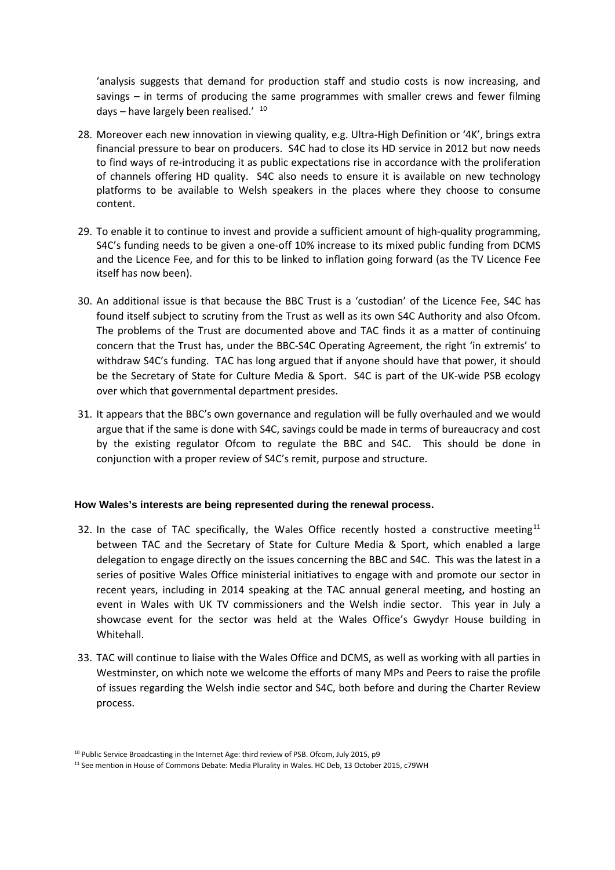'analysis suggests that demand for production staff and studio costs is now increasing, and savings – in terms of producing the same programmes with smaller crews and fewer filming days - have largely been realised.' [10](#page-5-0)

- 28. Moreover each new innovation in viewing quality, e.g. Ultra-High Definition or '4K', brings extra financial pressure to bear on producers. S4C had to close its HD service in 2012 but now needs to find ways of re-introducing it as public expectations rise in accordance with the proliferation of channels offering HD quality. S4C also needs to ensure it is available on new technology platforms to be available to Welsh speakers in the places where they choose to consume content.
- 29. To enable it to continue to invest and provide a sufficient amount of high-quality programming, S4C's funding needs to be given a one-off 10% increase to its mixed public funding from DCMS and the Licence Fee, and for this to be linked to inflation going forward (as the TV Licence Fee itself has now been).
- 30. An additional issue is that because the BBC Trust is a 'custodian' of the Licence Fee, S4C has found itself subject to scrutiny from the Trust as well as its own S4C Authority and also Ofcom. The problems of the Trust are documented above and TAC finds it as a matter of continuing concern that the Trust has, under the BBC-S4C Operating Agreement, the right 'in extremis' to withdraw S4C's funding. TAC has long argued that if anyone should have that power, it should be the Secretary of State for Culture Media & Sport. S4C is part of the UK-wide PSB ecology over which that governmental department presides.
- 31. It appears that the BBC's own governance and regulation will be fully overhauled and we would argue that if the same is done with S4C, savings could be made in terms of bureaucracy and cost by the existing regulator Ofcom to regulate the BBC and S4C. This should be done in conjunction with a proper review of S4C's remit, purpose and structure.

#### **How Wales's interests are being represented during the renewal process.**

- 32. In the case of TAC specifically, the Wales Office recently hosted a constructive meeting<sup>[11](#page-5-1)</sup> between TAC and the Secretary of State for Culture Media & Sport, which enabled a large delegation to engage directly on the issues concerning the BBC and S4C. This was the latest in a series of positive Wales Office ministerial initiatives to engage with and promote our sector in recent years, including in 2014 speaking at the TAC annual general meeting, and hosting an event in Wales with UK TV commissioners and the Welsh indie sector. This year in July a showcase event for the sector was held at the Wales Office's Gwydyr House building in Whitehall.
- 33. TAC will continue to liaise with the Wales Office and DCMS, as well as working with all parties in Westminster, on which note we welcome the efforts of many MPs and Peers to raise the profile of issues regarding the Welsh indie sector and S4C, both before and during the Charter Review process.

<sup>&</sup>lt;sup>10</sup> Public Service Broadcasting in the Internet Age: third review of PSB. Ofcom, July 2015, p9

<span id="page-5-1"></span><span id="page-5-0"></span><sup>11</sup> See mention in House of Commons Debate: Media Plurality in Wales. HC Deb, 13 October 2015, c79WH